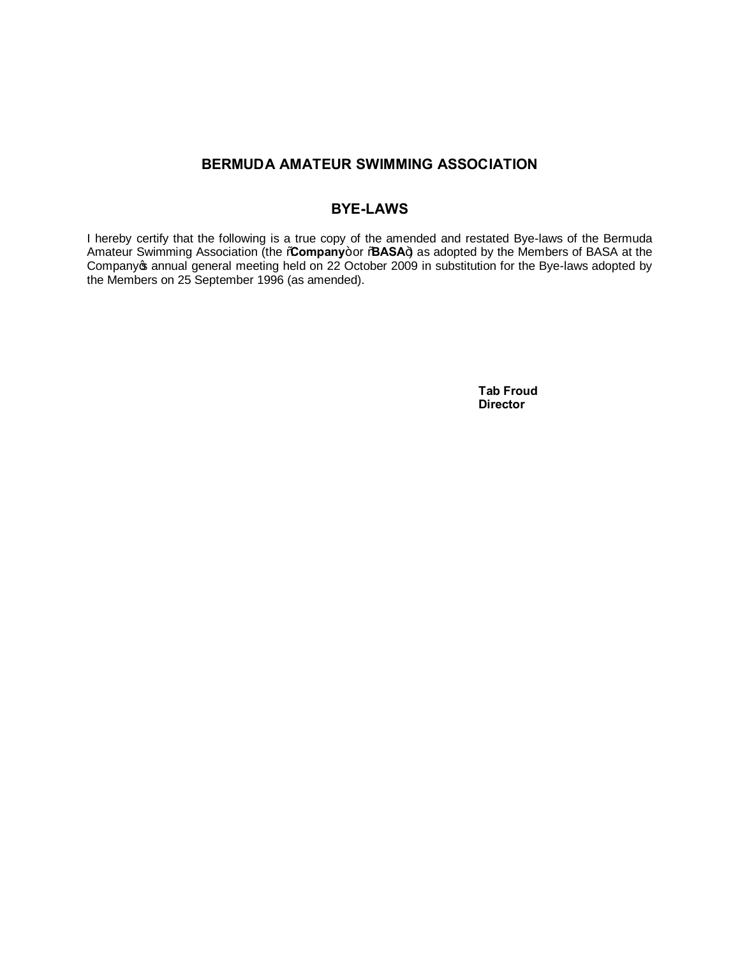# **BERMUDA AMATEUR SWIMMING ASSOCIATION**

# **BYE-LAWS**

I hereby certify that the following is a true copy of the amended and restated Bye-laws of the Bermuda Amateur Swimming Association (the **%Company**+or % BASA+) as adopted by the Members of BASA at the Companyos annual general meeting held on 22 October 2009 in substitution for the Bye-laws adopted by the Members on 25 September 1996 (as amended).

> **Tab Froud Director**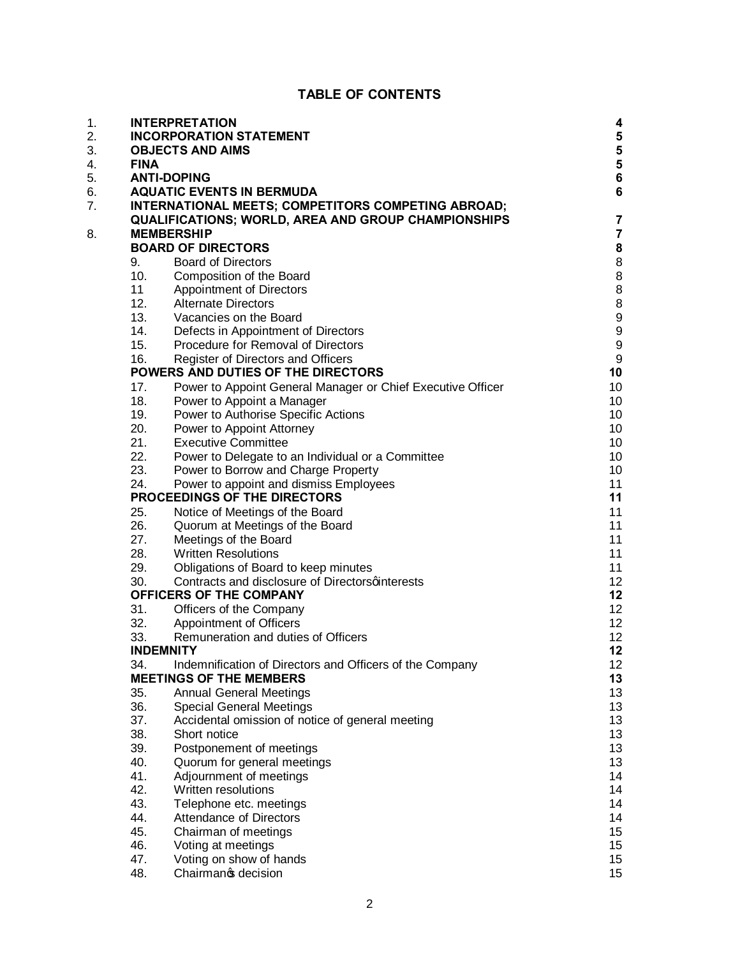# **TABLE OF CONTENTS**

| 1. |             | <b>INTERPRETATION</b>                                       | 4                |
|----|-------------|-------------------------------------------------------------|------------------|
| 2. |             | <b>INCORPORATION STATEMENT</b>                              | 5                |
| 3. |             | <b>OBJECTS AND AIMS</b>                                     | 5                |
| 4. | <b>FINA</b> |                                                             | 5                |
| 5. |             | <b>ANTI-DOPING</b>                                          | 6                |
| 6. |             | <b>AQUATIC EVENTS IN BERMUDA</b>                            | 6                |
| 7. |             | INTERNATIONAL MEETS; COMPETITORS COMPETING ABROAD;          |                  |
|    |             | <b>QUALIFICATIONS; WORLD, AREA AND GROUP CHAMPIONSHIPS</b>  | 7                |
| 8. |             | <b>MEMBERSHIP</b>                                           | $\overline{7}$   |
|    |             | <b>BOARD OF DIRECTORS</b>                                   | 8                |
|    | 9.          | <b>Board of Directors</b>                                   | 8                |
|    | 10.         | Composition of the Board                                    | 8                |
|    | 11          | <b>Appointment of Directors</b>                             | 8                |
|    | 12.         | <b>Alternate Directors</b>                                  | 8                |
|    | 13.         | Vacancies on the Board                                      | 9                |
|    | 14.         | Defects in Appointment of Directors                         | 9                |
|    | 15.         | Procedure for Removal of Directors                          | 9                |
|    | 16.         | Register of Directors and Officers                          | $\boldsymbol{9}$ |
|    |             | POWERS AND DUTIES OF THE DIRECTORS                          | 10               |
|    | 17.         | Power to Appoint General Manager or Chief Executive Officer | 10               |
|    | 18.         | Power to Appoint a Manager                                  | 10               |
|    | 19.         | Power to Authorise Specific Actions                         | 10               |
|    | 20.         | Power to Appoint Attorney                                   | 10               |
|    | 21.         | <b>Executive Committee</b>                                  | 10               |
|    | 22.         | Power to Delegate to an Individual or a Committee           | 10               |
|    | 23.         | Power to Borrow and Charge Property                         | 10               |
|    | 24.         | Power to appoint and dismiss Employees                      | 11               |
|    |             | PROCEEDINGS OF THE DIRECTORS                                | 11               |
|    | 25.         | Notice of Meetings of the Board                             | 11               |
|    | 26.         | Quorum at Meetings of the Board                             | 11               |
|    | 27.         | Meetings of the Board                                       | 11               |
|    | 28.         | <b>Written Resolutions</b>                                  | 11               |
|    | 29.         | Obligations of Board to keep minutes                        | 11               |
|    | 30.         | Contracts and disclosure of Directorsqinterests             | 12 <sup>°</sup>  |
|    |             | OFFICERS OF THE COMPANY                                     | 12               |
|    | 31.         | Officers of the Company                                     | 12 <sup>2</sup>  |
|    | 32.         | Appointment of Officers                                     | 12 <sup>2</sup>  |
|    | 33.         | Remuneration and duties of Officers                         | 12               |
|    |             | <b>INDEMNITY</b>                                            | 12               |
|    | 34.         | Indemnification of Directors and Officers of the Company    | 12               |
|    |             | <b>MEETINGS OF THE MEMBERS</b>                              | 13               |
|    | 35.         | <b>Annual General Meetings</b>                              | 13               |
|    | 36.         | <b>Special General Meetings</b>                             | 13               |
|    | 37.         | Accidental omission of notice of general meeting            | 13               |
|    | 38.         | Short notice                                                | 13               |
|    | 39.         | Postponement of meetings                                    | 13               |
|    | 40.         | Quorum for general meetings                                 | 13               |
|    | 41.         | Adjournment of meetings                                     | 14               |
|    | 42.         | Written resolutions                                         | 14               |
|    | 43.         | Telephone etc. meetings                                     | 14               |
|    | 44.         | <b>Attendance of Directors</b>                              | 14               |
|    | 45.         | Chairman of meetings                                        | 15               |
|    | 46.         | Voting at meetings                                          | 15               |
|    | 47.         | Voting on show of hands                                     | 15 <sub>15</sub> |
|    | 48.         | Chairmanos decision                                         | 15 <sub>15</sub> |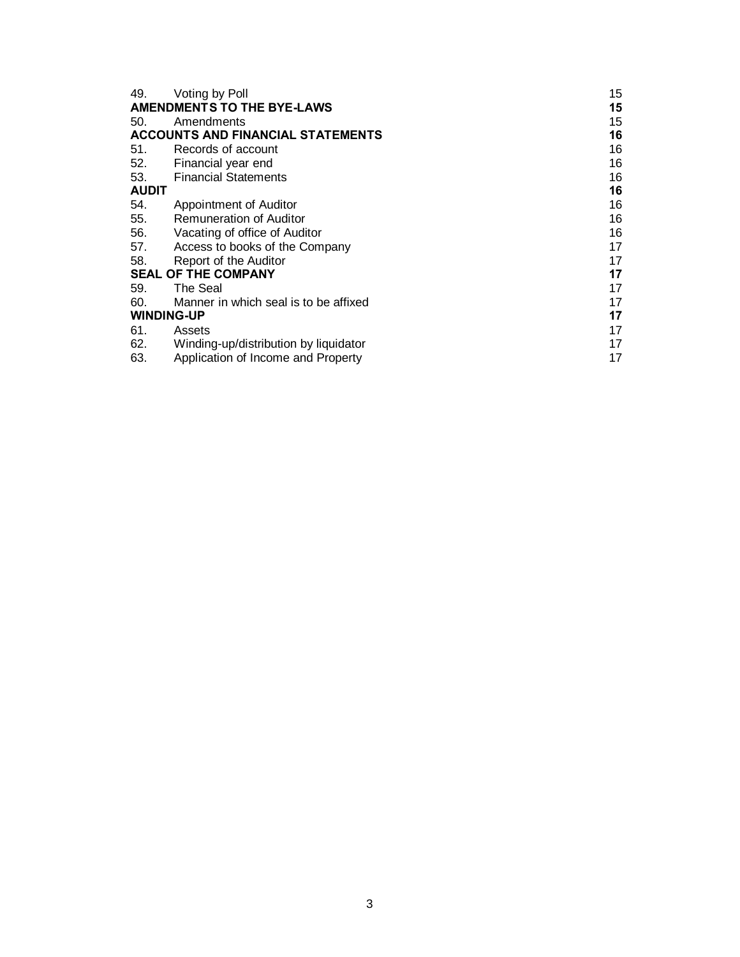| 49.                                      | Voting by Poll                        | 15 |  |
|------------------------------------------|---------------------------------------|----|--|
| <b>AMENDMENTS TO THE BYE-LAWS</b>        |                                       |    |  |
| 50.                                      | Amendments                            | 15 |  |
| <b>ACCOUNTS AND FINANCIAL STATEMENTS</b> |                                       |    |  |
| 51.                                      | Records of account                    | 16 |  |
| 52.                                      | Financial year end                    | 16 |  |
| 53.                                      | <b>Financial Statements</b>           | 16 |  |
| <b>AUDIT</b>                             |                                       |    |  |
| 54.                                      | Appointment of Auditor                | 16 |  |
| 55.                                      | Remuneration of Auditor               | 16 |  |
| 56.                                      | Vacating of office of Auditor         | 16 |  |
| 57.                                      | Access to books of the Company        | 17 |  |
| 58.                                      | Report of the Auditor                 | 17 |  |
| <b>SEAL OF THE COMPANY</b>               |                                       |    |  |
| 59.                                      | The Seal                              | 17 |  |
| 60.                                      | Manner in which seal is to be affixed | 17 |  |
| <b>WINDING-UP</b>                        |                                       |    |  |
| 61.                                      | Assets                                | 17 |  |
| 62.                                      | Winding-up/distribution by liquidator | 17 |  |
| 63.                                      | Application of Income and Property    | 17 |  |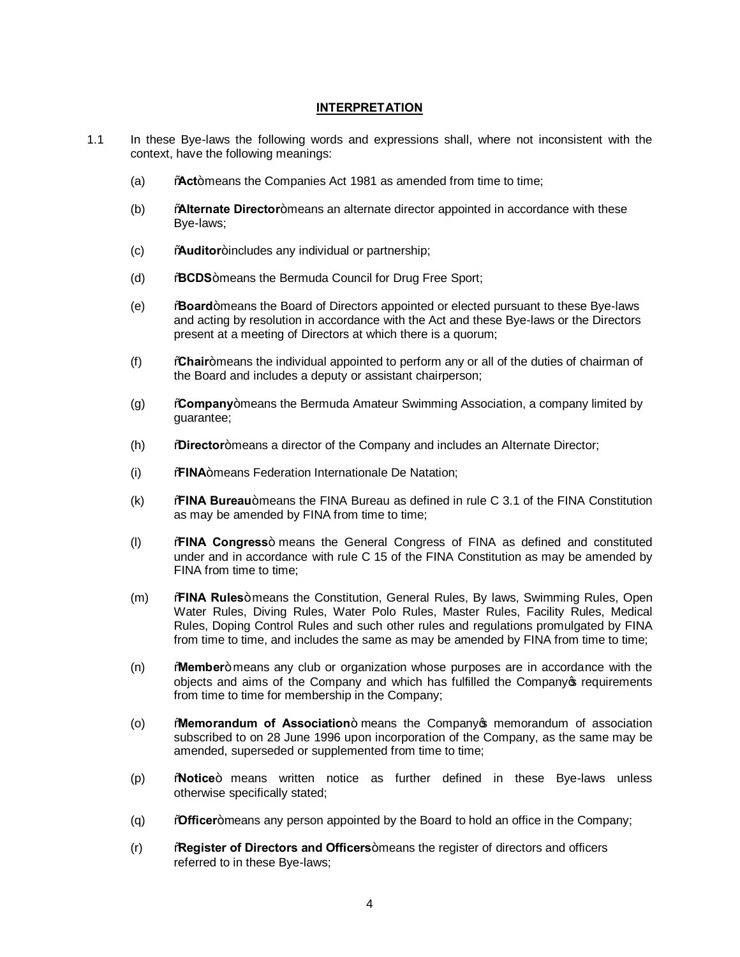#### **INTERPRETATION**

- 1.1 In these Bye-laws the following words and expressions shall, where not inconsistent with the context, have the following meanings:
	- (a) Wact+means the Companies Act 1981 as amended from time to time;
	- (b) "**Alternate Director**" means an alternate director appointed in accordance with these Bye-laws;
	- (c) **Auditor**+includes any individual or partnership;
	- (d) **BCDS**+means the Bermuda Council for Drug Free Sport;
	- (e) "**Board**" means the Board of Directors appointed or elected pursuant to these Bye-laws and acting by resolution in accordance with the Act and these Bye-laws or the Directors present at a meeting of Directors at which there is a quorum;
	- (f) "**Chair**" means the individual appointed to perform any or all of the duties of chairman of the Board and includes a deputy or assistant chairperson;
	- (g) "**Company**" means the Bermuda Amateur Swimming Association, a company limited by guarantee;
	- (h) **Director**+means a director of the Company and includes an Alternate Director;
	- (i) *FRINA*+means Federation Internationale De Natation;
	- (k) "**FINA Bureau**" means the FINA Bureau as defined in rule C 3.1 of the FINA Constitution as may be amended by FINA from time to time;
	- (l) "**FINA Congress**" means the General Congress of FINA as defined and constituted under and in accordance with rule C 15 of the FINA Constitution as may be amended by FINA from time to time:
	- (m) **% MINA Rules**+ means the Constitution, General Rules, By laws, Swimming Rules, Open Water Rules, Diving Rules, Water Polo Rules, Master Rules, Facility Rules, Medical Rules, Doping Control Rules and such other rules and regulations promulgated by FINA from time to time, and includes the same as may be amended by FINA from time to time;
	- (n) "**Member**" means any club or organization whose purposes are in accordance with the objects and aims of the Company and which has fulfilled the Company op requirements from time to time for membership in the Company;
	- (o) "**Memorandum of Association**" means the Company's memorandum of association subscribed to on 28 June 1996 upon incorporation of the Company, as the same may be amended, superseded or supplemented from time to time;
	- (p) "**Notice**" means written notice as further defined in these Bye-laws unless otherwise specifically stated;
	- (q) *Mofficer*+ means any person appointed by the Board to hold an office in the Company;
	- (r) "**Register of Directors and Officers**" means the register of directors and officers referred to in these Bye-laws;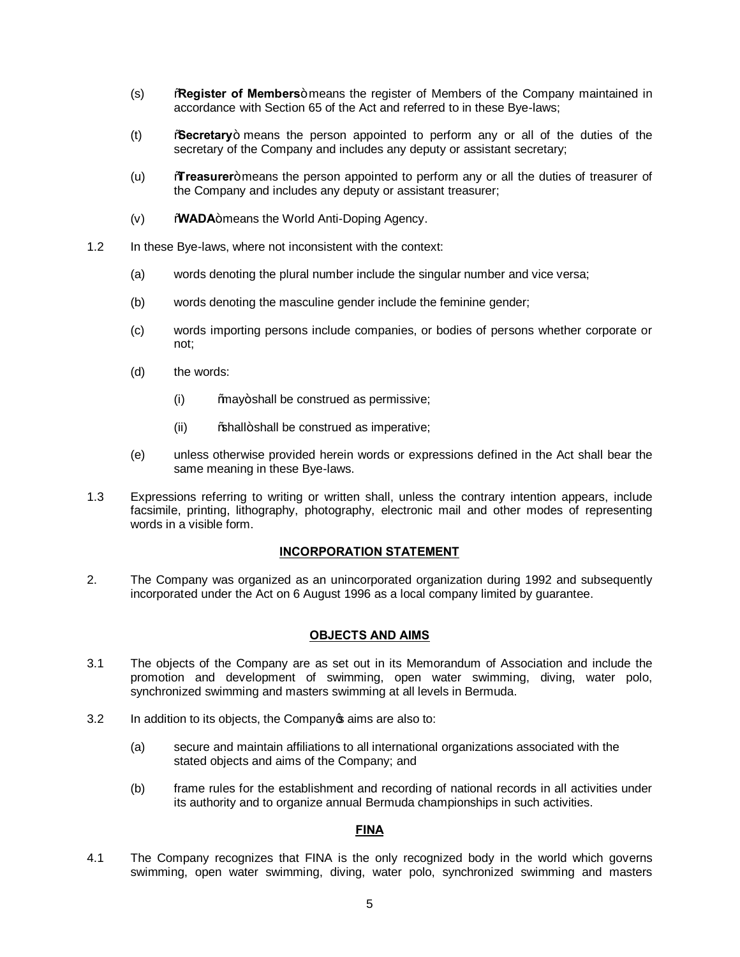- (s) **Register of Members**+means the register of Members of the Company maintained in accordance with Section 65 of the Act and referred to in these Bye-laws;
- (t) "**Secretary**" means the person appointed to perform any or all of the duties of the secretary of the Company and includes any deputy or assistant secretary;
- (u) **Treasurer**+ means the person appointed to perform any or all the duties of treasurer of the Company and includes any deputy or assistant treasurer;
- (v) WADA+means the World Anti-Doping Agency.
- 1.2 In these Bye-laws, where not inconsistent with the context:
	- (a) words denoting the plural number include the singular number and vice versa;
	- (b) words denoting the masculine gender include the feminine gender;
	- (c) words importing persons include companies, or bodies of persons whether corporate or not;
	- (d) the words:
		- $(ii)$  %may+shall be construed as permissive;
		- $(iii)$  % % hall + shall be construed as imperative:
	- (e) unless otherwise provided herein words or expressions defined in the Act shall bear the same meaning in these Bye-laws.
- 1.3 Expressions referring to writing or written shall, unless the contrary intention appears, include facsimile, printing, lithography, photography, electronic mail and other modes of representing words in a visible form.

#### **INCORPORATION STATEMENT**

2. The Company was organized as an unincorporated organization during 1992 and subsequently incorporated under the Act on 6 August 1996 as a local company limited by guarantee.

#### **OBJECTS AND AIMS**

- 3.1 The objects of the Company are as set out in its Memorandum of Association and include the promotion and development of swimming, open water swimming, diving, water polo, synchronized swimming and masters swimming at all levels in Bermuda.
- 3.2 In addition to its objects, the Company open images are also to:
	- (a) secure and maintain affiliations to all international organizations associated with the stated objects and aims of the Company; and
	- (b) frame rules for the establishment and recording of national records in all activities under its authority and to organize annual Bermuda championships in such activities.

#### **FINA**

4.1 The Company recognizes that FINA is the only recognized body in the world which governs swimming, open water swimming, diving, water polo, synchronized swimming and masters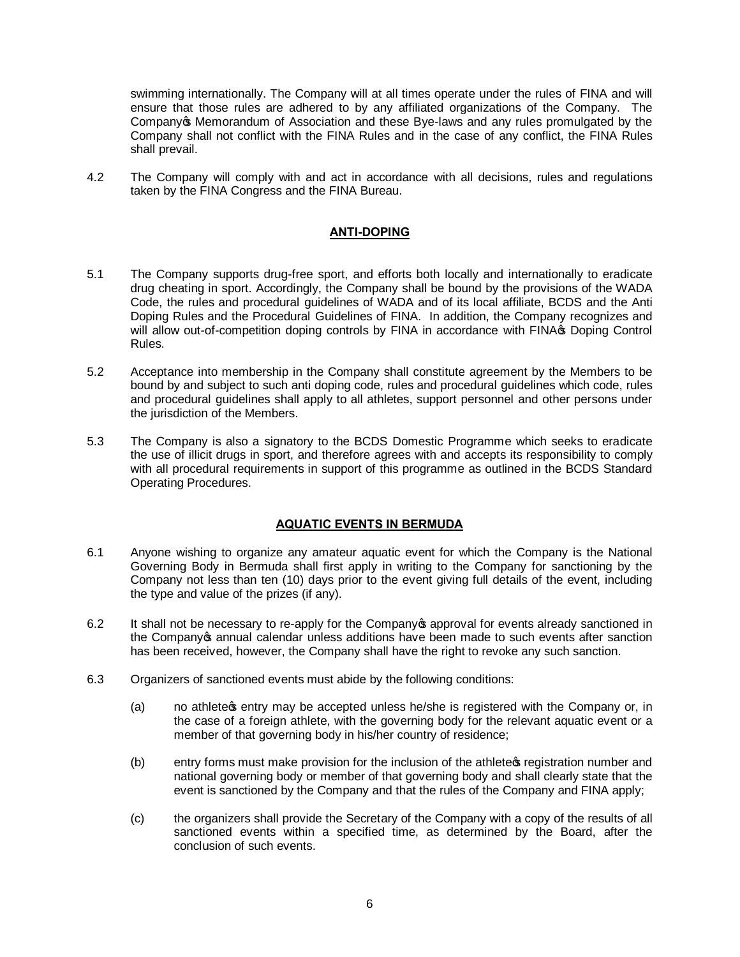swimming internationally. The Company will at all times operate under the rules of FINA and will ensure that those rules are adhered to by any affiliated organizations of the Company. The Company's Memorandum of Association and these Bye-laws and any rules promulgated by the Company shall not conflict with the FINA Rules and in the case of any conflict, the FINA Rules shall prevail.

4.2 The Company will comply with and act in accordance with all decisions, rules and regulations taken by the FINA Congress and the FINA Bureau.

# **ANTI-DOPING**

- 5.1 The Company supports drug-free sport, and efforts both locally and internationally to eradicate drug cheating in sport. Accordingly, the Company shall be bound by the provisions of the WADA Code, the rules and procedural guidelines of WADA and of its local affiliate, BCDS and the Anti Doping Rules and the Procedural Guidelines of FINA. In addition, the Company recognizes and will allow out-of-competition doping controls by FINA in accordance with FINA  $\circledast$  Doping Control Rules.
- 5.2 Acceptance into membership in the Company shall constitute agreement by the Members to be bound by and subject to such anti doping code, rules and procedural guidelines which code, rules and procedural guidelines shall apply to all athletes, support personnel and other persons under the jurisdiction of the Members.
- 5.3 The Company is also a signatory to the BCDS Domestic Programme which seeks to eradicate the use of illicit drugs in sport, and therefore agrees with and accepts its responsibility to comply with all procedural requirements in support of this programme as outlined in the BCDS Standard Operating Procedures.

# **AQUATIC EVENTS IN BERMUDA**

- 6.1 Anyone wishing to organize any amateur aquatic event for which the Company is the National Governing Body in Bermuda shall first apply in writing to the Company for sanctioning by the Company not less than ten (10) days prior to the event giving full details of the event, including the type and value of the prizes (if any).
- 6.2 It shall not be necessary to re-apply for the Company **s** approval for events already sanctioned in the Company of annual calendar unless additions have been made to such events after sanction has been received, however, the Company shall have the right to revoke any such sanction.
- 6.3 Organizers of sanctioned events must abide by the following conditions:
	- (a) no athlete a entry may be accepted unless he/she is registered with the Company or, in the case of a foreign athlete, with the governing body for the relevant aquatic event or a member of that governing body in his/her country of residence;
	- (b) entry forms must make provision for the inclusion of the athlete open equistration number and national governing body or member of that governing body and shall clearly state that the event is sanctioned by the Company and that the rules of the Company and FINA apply;
	- (c) the organizers shall provide the Secretary of the Company with a copy of the results of all sanctioned events within a specified time, as determined by the Board, after the conclusion of such events.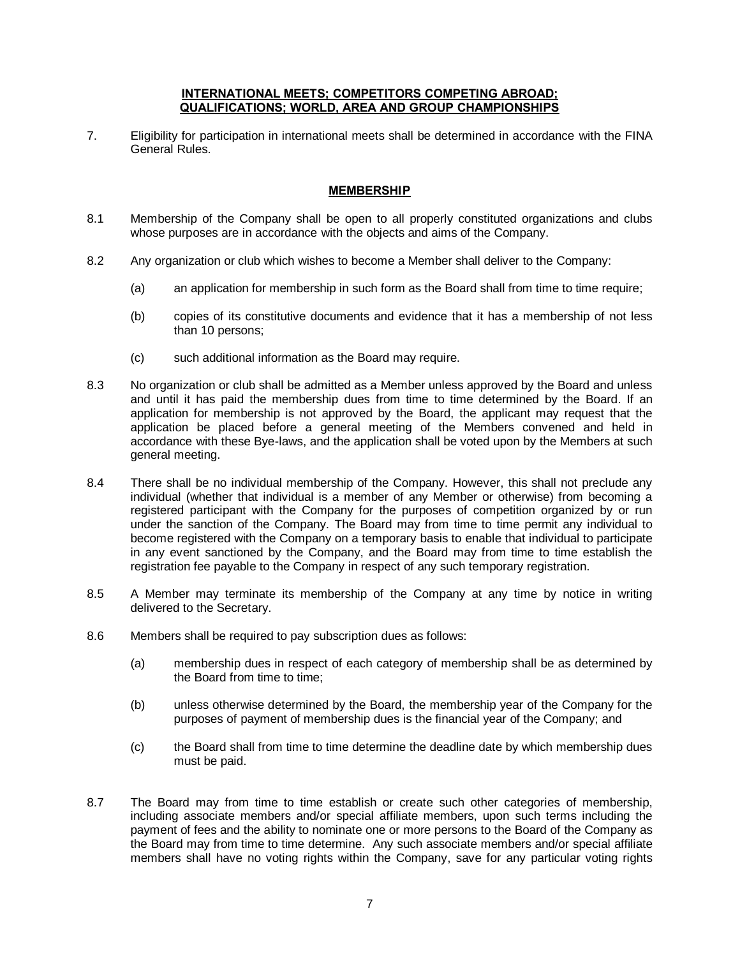#### **INTERNATIONAL MEETS; COMPETITORS COMPETING ABROAD; QUALIFICATIONS; WORLD, AREA AND GROUP CHAMPIONSHIPS**

7. Eligibility for participation in international meets shall be determined in accordance with the FINA General Rules.

# **MEMBERSHIP**

- 8.1 Membership of the Company shall be open to all properly constituted organizations and clubs whose purposes are in accordance with the objects and aims of the Company.
- 8.2 Any organization or club which wishes to become a Member shall deliver to the Company:
	- (a) an application for membership in such form as the Board shall from time to time require;
	- (b) copies of its constitutive documents and evidence that it has a membership of not less than 10 persons;
	- (c) such additional information as the Board may require.
- 8.3 No organization or club shall be admitted as a Member unless approved by the Board and unless and until it has paid the membership dues from time to time determined by the Board. If an application for membership is not approved by the Board, the applicant may request that the application be placed before a general meeting of the Members convened and held in accordance with these Bye-laws, and the application shall be voted upon by the Members at such general meeting.
- 8.4 There shall be no individual membership of the Company. However, this shall not preclude any individual (whether that individual is a member of any Member or otherwise) from becoming a registered participant with the Company for the purposes of competition organized by or run under the sanction of the Company. The Board may from time to time permit any individual to become registered with the Company on a temporary basis to enable that individual to participate in any event sanctioned by the Company, and the Board may from time to time establish the registration fee payable to the Company in respect of any such temporary registration.
- 8.5 A Member may terminate its membership of the Company at any time by notice in writing delivered to the Secretary.
- 8.6 Members shall be required to pay subscription dues as follows:
	- (a) membership dues in respect of each category of membership shall be as determined by the Board from time to time;
	- (b) unless otherwise determined by the Board, the membership year of the Company for the purposes of payment of membership dues is the financial year of the Company; and
	- (c) the Board shall from time to time determine the deadline date by which membership dues must be paid.
- 8.7 The Board may from time to time establish or create such other categories of membership, including associate members and/or special affiliate members, upon such terms including the payment of fees and the ability to nominate one or more persons to the Board of the Company as the Board may from time to time determine. Any such associate members and/or special affiliate members shall have no voting rights within the Company, save for any particular voting rights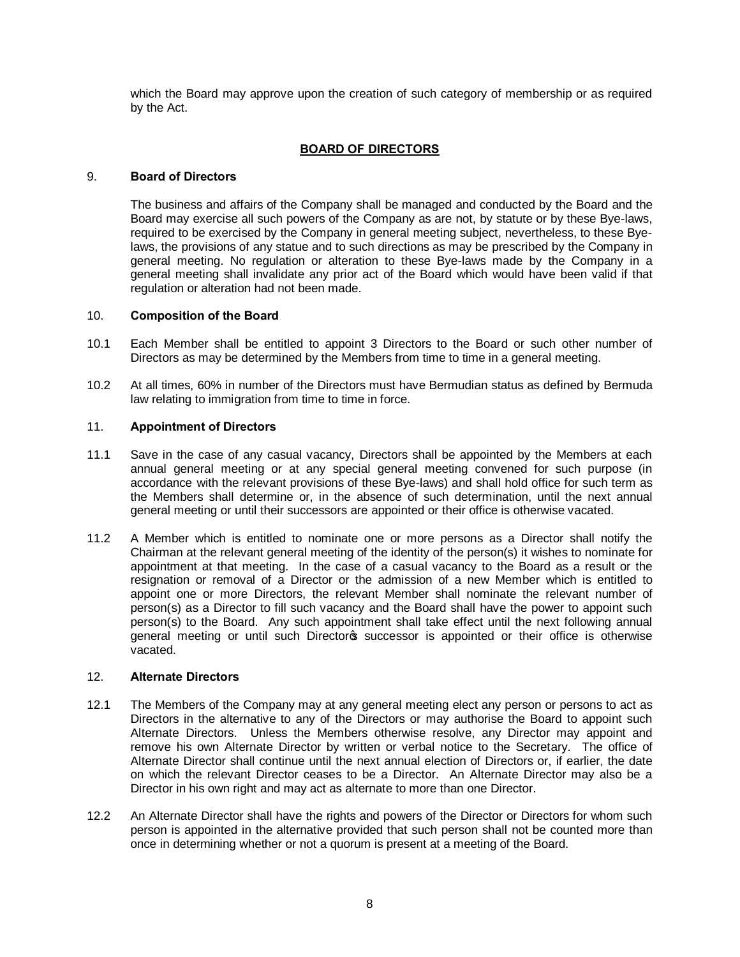which the Board may approve upon the creation of such category of membership or as required by the Act.

# **BOARD OF DIRECTORS**

## 9. **Board of Directors**

The business and affairs of the Company shall be managed and conducted by the Board and the Board may exercise all such powers of the Company as are not, by statute or by these Bye-laws, required to be exercised by the Company in general meeting subject, nevertheless, to these Byelaws, the provisions of any statue and to such directions as may be prescribed by the Company in general meeting. No regulation or alteration to these Bye-laws made by the Company in a general meeting shall invalidate any prior act of the Board which would have been valid if that regulation or alteration had not been made.

## 10. **Composition of the Board**

- 10.1 Each Member shall be entitled to appoint 3 Directors to the Board or such other number of Directors as may be determined by the Members from time to time in a general meeting.
- 10.2 At all times, 60% in number of the Directors must have Bermudian status as defined by Bermuda law relating to immigration from time to time in force.

# 11. **Appointment of Directors**

- 11.1 Save in the case of any casual vacancy, Directors shall be appointed by the Members at each annual general meeting or at any special general meeting convened for such purpose (in accordance with the relevant provisions of these Bye-laws) and shall hold office for such term as the Members shall determine or, in the absence of such determination, until the next annual general meeting or until their successors are appointed or their office is otherwise vacated.
- 11.2 A Member which is entitled to nominate one or more persons as a Director shall notify the Chairman at the relevant general meeting of the identity of the person(s) it wishes to nominate for appointment at that meeting. In the case of a casual vacancy to the Board as a result or the resignation or removal of a Director or the admission of a new Member which is entitled to appoint one or more Directors, the relevant Member shall nominate the relevant number of person(s) as a Director to fill such vacancy and the Board shall have the power to appoint such person(s) to the Board. Any such appointment shall take effect until the next following annual general meeting or until such Directoros successor is appointed or their office is otherwise vacated.

## 12. **Alternate Directors**

- 12.1 The Members of the Company may at any general meeting elect any person or persons to act as Directors in the alternative to any of the Directors or may authorise the Board to appoint such Alternate Directors. Unless the Members otherwise resolve, any Director may appoint and remove his own Alternate Director by written or verbal notice to the Secretary. The office of Alternate Director shall continue until the next annual election of Directors or, if earlier, the date on which the relevant Director ceases to be a Director. An Alternate Director may also be a Director in his own right and may act as alternate to more than one Director.
- 12.2 An Alternate Director shall have the rights and powers of the Director or Directors for whom such person is appointed in the alternative provided that such person shall not be counted more than once in determining whether or not a quorum is present at a meeting of the Board.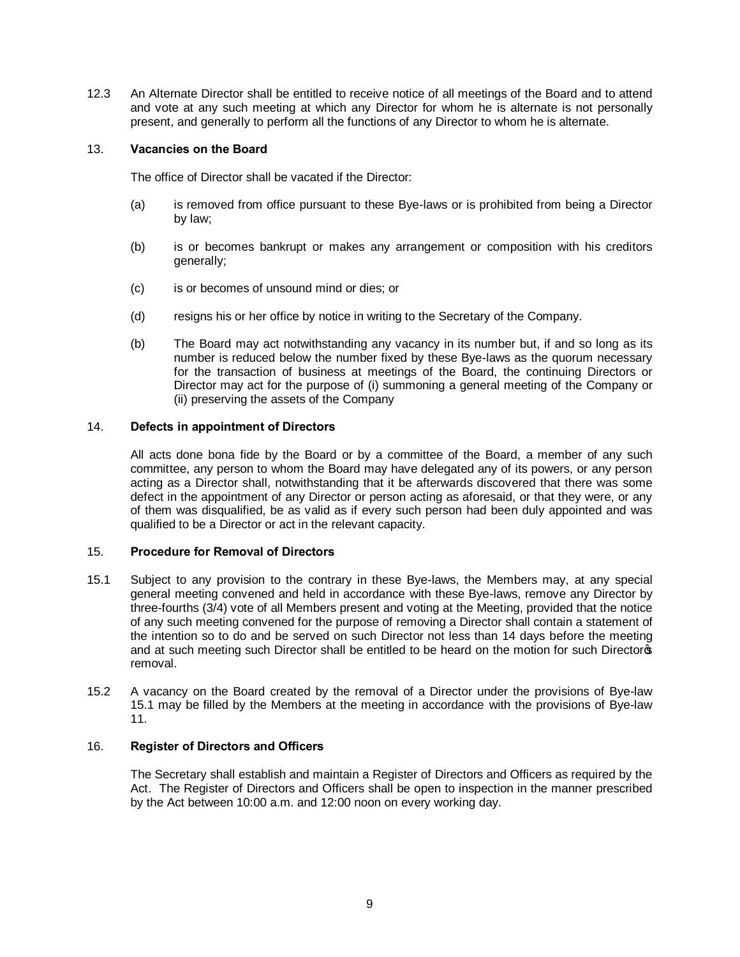12.3 An Alternate Director shall be entitled to receive notice of all meetings of the Board and to attend and vote at any such meeting at which any Director for whom he is alternate is not personally present, and generally to perform all the functions of any Director to whom he is alternate.

## 13. **Vacancies on the Board**

The office of Director shall be vacated if the Director:

- (a) is removed from office pursuant to these Bye-laws or is prohibited from being a Director by law;
- (b) is or becomes bankrupt or makes any arrangement or composition with his creditors generally;
- (c) is or becomes of unsound mind or dies; or
- (d) resigns his or her office by notice in writing to the Secretary of the Company.
- (b) The Board may act notwithstanding any vacancy in its number but, if and so long as its number is reduced below the number fixed by these Bye-laws as the quorum necessary for the transaction of business at meetings of the Board, the continuing Directors or Director may act for the purpose of (i) summoning a general meeting of the Company or (ii) preserving the assets of the Company

# 14. **Defects in appointment of Directors**

All acts done bona fide by the Board or by a committee of the Board, a member of any such committee, any person to whom the Board may have delegated any of its powers, or any person acting as a Director shall, notwithstanding that it be afterwards discovered that there was some defect in the appointment of any Director or person acting as aforesaid, or that they were, or any of them was disqualified, be as valid as if every such person had been duly appointed and was qualified to be a Director or act in the relevant capacity.

#### 15. **Procedure for Removal of Directors**

- 15.1 Subject to any provision to the contrary in these Bye-laws, the Members may, at any special general meeting convened and held in accordance with these Bye-laws, remove any Director by three-fourths (3/4) vote of all Members present and voting at the Meeting, provided that the notice of any such meeting convened for the purpose of removing a Director shall contain a statement of the intention so to do and be served on such Director not less than 14 days before the meeting and at such meeting such Director shall be entitled to be heard on the motion for such Directors removal.
- 15.2 A vacancy on the Board created by the removal of a Director under the provisions of Bye-law 15.1 may be filled by the Members at the meeting in accordance with the provisions of Bye-law 11.

#### 16. **Register of Directors and Officers**

The Secretary shall establish and maintain a Register of Directors and Officers as required by the Act. The Register of Directors and Officers shall be open to inspection in the manner prescribed by the Act between 10:00 a.m. and 12:00 noon on every working day.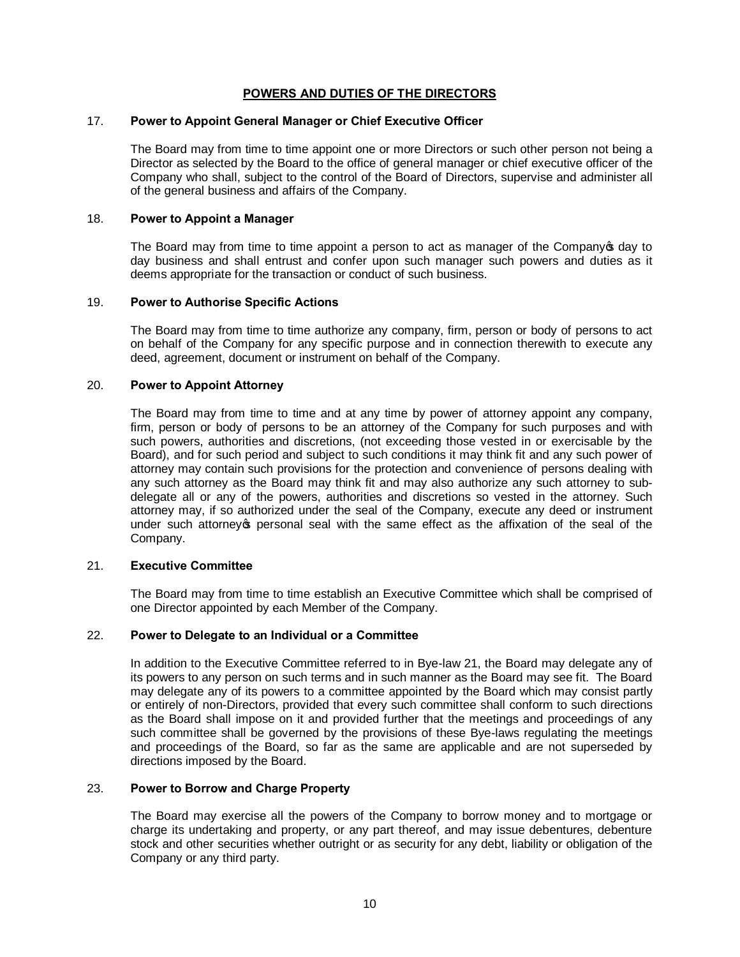# **POWERS AND DUTIES OF THE DIRECTORS**

#### 17. **Power to Appoint General Manager or Chief Executive Officer**

The Board may from time to time appoint one or more Directors or such other person not being a Director as selected by the Board to the office of general manager or chief executive officer of the Company who shall, subject to the control of the Board of Directors, supervise and administer all of the general business and affairs of the Company.

## 18. **Power to Appoint a Manager**

The Board may from time to time appoint a person to act as manager of the Company of day to day business and shall entrust and confer upon such manager such powers and duties as it deems appropriate for the transaction or conduct of such business.

#### 19. **Power to Authorise Specific Actions**

The Board may from time to time authorize any company, firm, person or body of persons to act on behalf of the Company for any specific purpose and in connection therewith to execute any deed, agreement, document or instrument on behalf of the Company.

#### 20. **Power to Appoint Attorney**

The Board may from time to time and at any time by power of attorney appoint any company, firm, person or body of persons to be an attorney of the Company for such purposes and with such powers, authorities and discretions, (not exceeding those vested in or exercisable by the Board), and for such period and subject to such conditions it may think fit and any such power of attorney may contain such provisions for the protection and convenience of persons dealing with any such attorney as the Board may think fit and may also authorize any such attorney to subdelegate all or any of the powers, authorities and discretions so vested in the attorney. Such attorney may, if so authorized under the seal of the Company, execute any deed or instrument under such attorney's personal seal with the same effect as the affixation of the seal of the Company.

#### 21. **Executive Committee**

The Board may from time to time establish an Executive Committee which shall be comprised of one Director appointed by each Member of the Company.

#### 22. **Power to Delegate to an Individual or a Committee**

In addition to the Executive Committee referred to in Bye-law 21, the Board may delegate any of its powers to any person on such terms and in such manner as the Board may see fit. The Board may delegate any of its powers to a committee appointed by the Board which may consist partly or entirely of non-Directors, provided that every such committee shall conform to such directions as the Board shall impose on it and provided further that the meetings and proceedings of any such committee shall be governed by the provisions of these Bye-laws regulating the meetings and proceedings of the Board, so far as the same are applicable and are not superseded by directions imposed by the Board.

#### 23. **Power to Borrow and Charge Property**

The Board may exercise all the powers of the Company to borrow money and to mortgage or charge its undertaking and property, or any part thereof, and may issue debentures, debenture stock and other securities whether outright or as security for any debt, liability or obligation of the Company or any third party.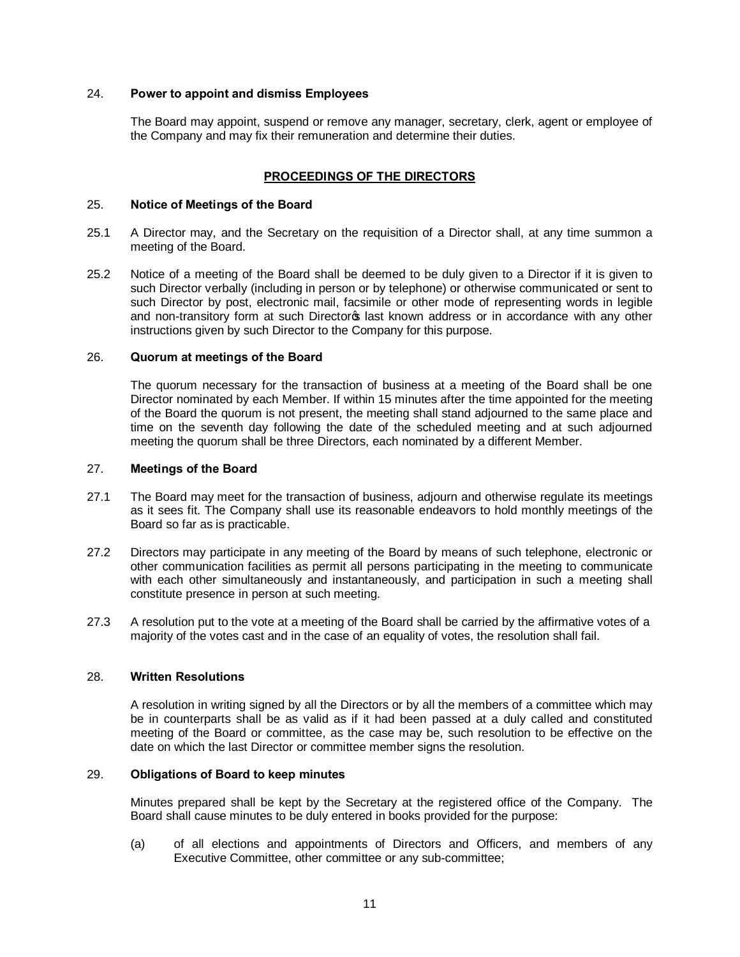## 24. **Power to appoint and dismiss Employees**

The Board may appoint, suspend or remove any manager, secretary, clerk, agent or employee of the Company and may fix their remuneration and determine their duties.

## **PROCEEDINGS OF THE DIRECTORS**

#### 25. **Notice of Meetings of the Board**

- 25.1 A Director may, and the Secretary on the requisition of a Director shall, at any time summon a meeting of the Board.
- 25.2 Notice of a meeting of the Board shall be deemed to be duly given to a Director if it is given to such Director verbally (including in person or by telephone) or otherwise communicated or sent to such Director by post, electronic mail, facsimile or other mode of representing words in legible and non-transitory form at such Director<sub>®</sub> last known address or in accordance with any other instructions given by such Director to the Company for this purpose.

#### 26. **Quorum at meetings of the Board**

The quorum necessary for the transaction of business at a meeting of the Board shall be one Director nominated by each Member. If within 15 minutes after the time appointed for the meeting of the Board the quorum is not present, the meeting shall stand adjourned to the same place and time on the seventh day following the date of the scheduled meeting and at such adjourned meeting the quorum shall be three Directors, each nominated by a different Member.

#### 27. **Meetings of the Board**

- 27.1 The Board may meet for the transaction of business, adjourn and otherwise regulate its meetings as it sees fit. The Company shall use its reasonable endeavors to hold monthly meetings of the Board so far as is practicable.
- 27.2 Directors may participate in any meeting of the Board by means of such telephone, electronic or other communication facilities as permit all persons participating in the meeting to communicate with each other simultaneously and instantaneously, and participation in such a meeting shall constitute presence in person at such meeting.
- 27.3 A resolution put to the vote at a meeting of the Board shall be carried by the affirmative votes of a majority of the votes cast and in the case of an equality of votes, the resolution shall fail.

## 28. **Written Resolutions**

A resolution in writing signed by all the Directors or by all the members of a committee which may be in counterparts shall be as valid as if it had been passed at a duly called and constituted meeting of the Board or committee, as the case may be, such resolution to be effective on the date on which the last Director or committee member signs the resolution.

# 29. **Obligations of Board to keep minutes**

Minutes prepared shall be kept by the Secretary at the registered office of the Company. The Board shall cause minutes to be duly entered in books provided for the purpose:

(a) of all elections and appointments of Directors and Officers, and members of any Executive Committee, other committee or any sub-committee;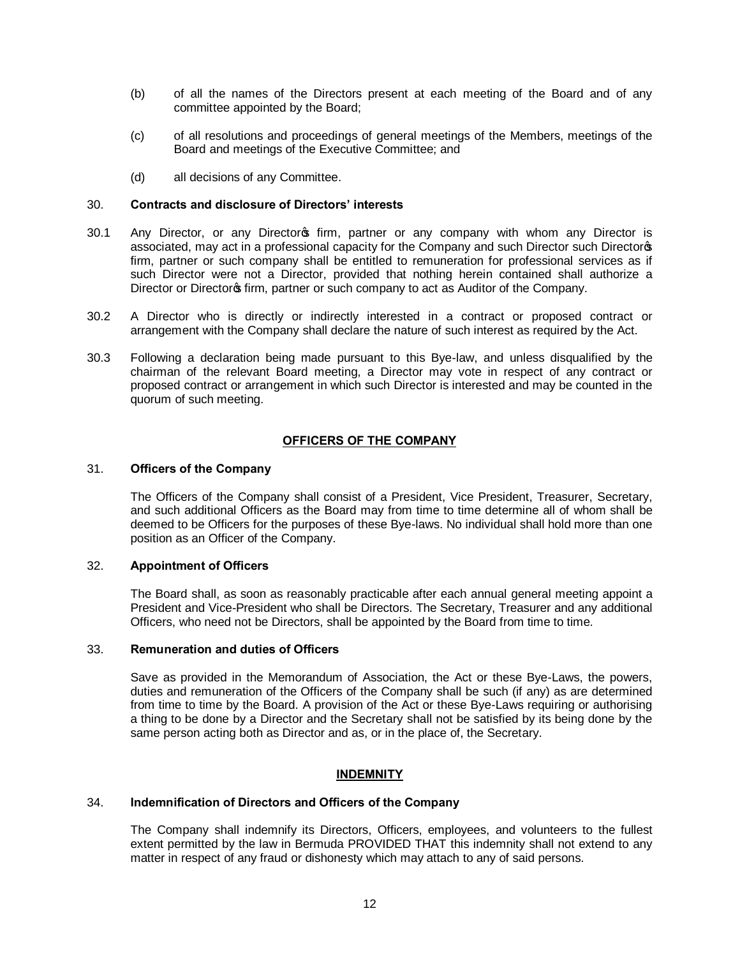- (b) of all the names of the Directors present at each meeting of the Board and of any committee appointed by the Board;
- (c) of all resolutions and proceedings of general meetings of the Members, meetings of the Board and meetings of the Executive Committee; and
- (d) all decisions of any Committee.

#### 30. **Contracts and disclosure of Directors' interests**

- 30.1 Any Director, or any Director firm, partner or any company with whom any Director is associated, may act in a professional capacity for the Company and such Director such Directors firm, partner or such company shall be entitled to remuneration for professional services as if such Director were not a Director, provided that nothing herein contained shall authorize a Director or Director of firm, partner or such company to act as Auditor of the Company.
- 30.2 A Director who is directly or indirectly interested in a contract or proposed contract or arrangement with the Company shall declare the nature of such interest as required by the Act.
- 30.3 Following a declaration being made pursuant to this Bye-law, and unless disqualified by the chairman of the relevant Board meeting, a Director may vote in respect of any contract or proposed contract or arrangement in which such Director is interested and may be counted in the quorum of such meeting.

#### **OFFICERS OF THE COMPANY**

#### 31. **Officers of the Company**

The Officers of the Company shall consist of a President, Vice President, Treasurer, Secretary, and such additional Officers as the Board may from time to time determine all of whom shall be deemed to be Officers for the purposes of these Bye-laws. No individual shall hold more than one position as an Officer of the Company.

# 32. **Appointment of Officers**

The Board shall, as soon as reasonably practicable after each annual general meeting appoint a President and Vice-President who shall be Directors. The Secretary, Treasurer and any additional Officers, who need not be Directors, shall be appointed by the Board from time to time.

#### 33. **Remuneration and duties of Officers**

Save as provided in the Memorandum of Association, the Act or these Bye-Laws, the powers, duties and remuneration of the Officers of the Company shall be such (if any) as are determined from time to time by the Board. A provision of the Act or these Bye-Laws requiring or authorising a thing to be done by a Director and the Secretary shall not be satisfied by its being done by the same person acting both as Director and as, or in the place of, the Secretary.

#### **INDEMNITY**

#### 34. **Indemnification of Directors and Officers of the Company**

The Company shall indemnify its Directors, Officers, employees, and volunteers to the fullest extent permitted by the law in Bermuda PROVIDED THAT this indemnity shall not extend to any matter in respect of any fraud or dishonesty which may attach to any of said persons.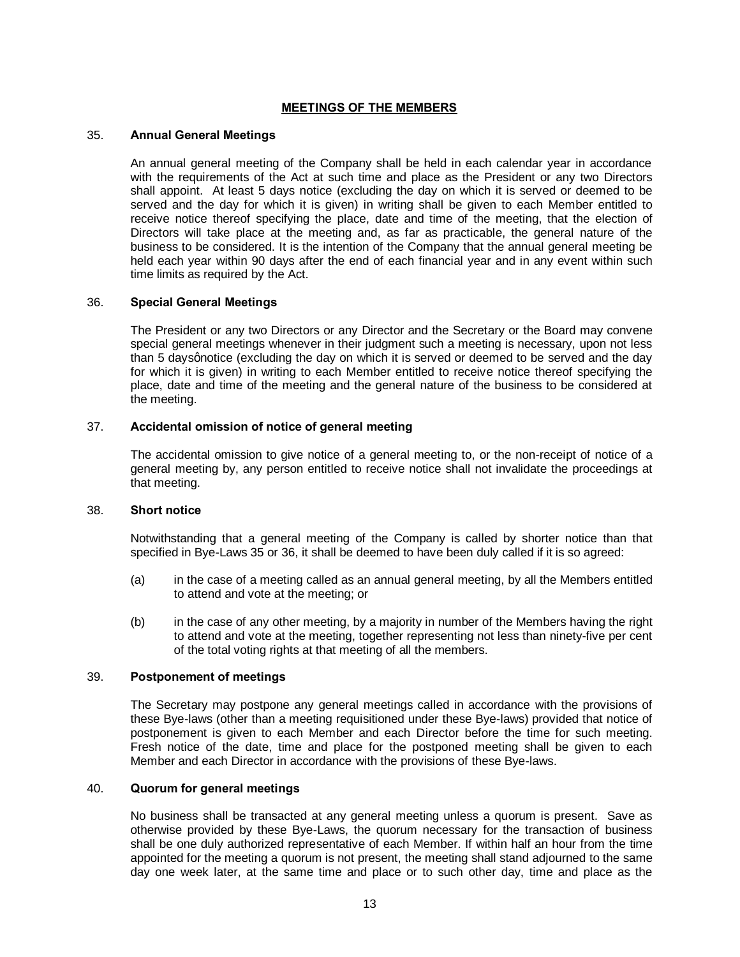#### **MEETINGS OF THE MEMBERS**

#### 35. **Annual General Meetings**

An annual general meeting of the Company shall be held in each calendar year in accordance with the requirements of the Act at such time and place as the President or any two Directors shall appoint. At least 5 days notice (excluding the day on which it is served or deemed to be served and the day for which it is given) in writing shall be given to each Member entitled to receive notice thereof specifying the place, date and time of the meeting, that the election of Directors will take place at the meeting and, as far as practicable, the general nature of the business to be considered. It is the intention of the Company that the annual general meeting be held each year within 90 days after the end of each financial year and in any event within such time limits as required by the Act.

#### 36. **Special General Meetings**

The President or any two Directors or any Director and the Secretary or the Board may convene special general meetings whenever in their judgment such a meeting is necessary, upon not less than 5 days gnotice (excluding the day on which it is served or deemed to be served and the day for which it is given) in writing to each Member entitled to receive notice thereof specifying the place, date and time of the meeting and the general nature of the business to be considered at the meeting.

## 37. **Accidental omission of notice of general meeting**

The accidental omission to give notice of a general meeting to, or the non-receipt of notice of a general meeting by, any person entitled to receive notice shall not invalidate the proceedings at that meeting.

#### 38. **Short notice**

Notwithstanding that a general meeting of the Company is called by shorter notice than that specified in Bye-Laws 35 or 36, it shall be deemed to have been duly called if it is so agreed:

- (a) in the case of a meeting called as an annual general meeting, by all the Members entitled to attend and vote at the meeting; or
- (b) in the case of any other meeting, by a majority in number of the Members having the right to attend and vote at the meeting, together representing not less than ninety-five per cent of the total voting rights at that meeting of all the members.

#### 39. **Postponement of meetings**

The Secretary may postpone any general meetings called in accordance with the provisions of these Bye-laws (other than a meeting requisitioned under these Bye-laws) provided that notice of postponement is given to each Member and each Director before the time for such meeting. Fresh notice of the date, time and place for the postponed meeting shall be given to each Member and each Director in accordance with the provisions of these Bye-laws.

#### 40. **Quorum for general meetings**

No business shall be transacted at any general meeting unless a quorum is present. Save as otherwise provided by these Bye-Laws, the quorum necessary for the transaction of business shall be one duly authorized representative of each Member. If within half an hour from the time appointed for the meeting a quorum is not present, the meeting shall stand adjourned to the same day one week later, at the same time and place or to such other day, time and place as the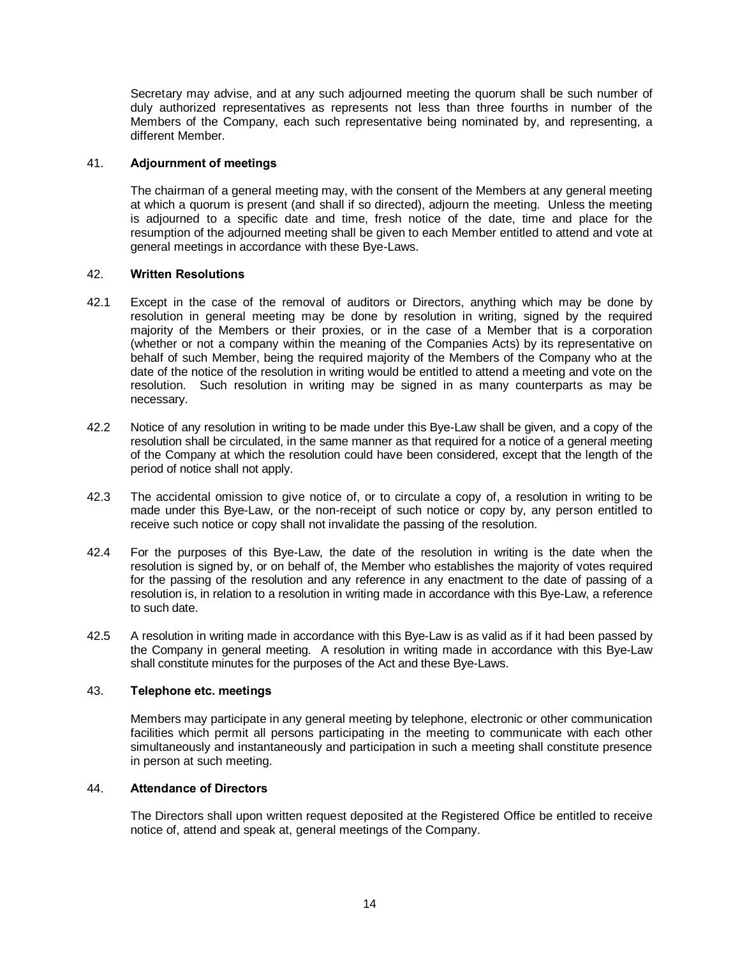Secretary may advise, and at any such adjourned meeting the quorum shall be such number of duly authorized representatives as represents not less than three fourths in number of the Members of the Company, each such representative being nominated by, and representing, a different Member.

## 41. **Adjournment of meetings**

The chairman of a general meeting may, with the consent of the Members at any general meeting at which a quorum is present (and shall if so directed), adjourn the meeting. Unless the meeting is adjourned to a specific date and time, fresh notice of the date, time and place for the resumption of the adjourned meeting shall be given to each Member entitled to attend and vote at general meetings in accordance with these Bye-Laws.

#### 42. **Written Resolutions**

- 42.1 Except in the case of the removal of auditors or Directors, anything which may be done by resolution in general meeting may be done by resolution in writing, signed by the required majority of the Members or their proxies, or in the case of a Member that is a corporation (whether or not a company within the meaning of the Companies Acts) by its representative on behalf of such Member, being the required majority of the Members of the Company who at the date of the notice of the resolution in writing would be entitled to attend a meeting and vote on the resolution. Such resolution in writing may be signed in as many counterparts as may be necessary.
- 42.2 Notice of any resolution in writing to be made under this Bye-Law shall be given, and a copy of the resolution shall be circulated, in the same manner as that required for a notice of a general meeting of the Company at which the resolution could have been considered, except that the length of the period of notice shall not apply.
- 42.3 The accidental omission to give notice of, or to circulate a copy of, a resolution in writing to be made under this Bye-Law, or the non-receipt of such notice or copy by, any person entitled to receive such notice or copy shall not invalidate the passing of the resolution.
- 42.4 For the purposes of this Bye-Law, the date of the resolution in writing is the date when the resolution is signed by, or on behalf of, the Member who establishes the majority of votes required for the passing of the resolution and any reference in any enactment to the date of passing of a resolution is, in relation to a resolution in writing made in accordance with this Bye-Law, a reference to such date.
- 42.5 A resolution in writing made in accordance with this Bye-Law is as valid as if it had been passed by the Company in general meeting. A resolution in writing made in accordance with this Bye-Law shall constitute minutes for the purposes of the Act and these Bye-Laws.

# 43. **Telephone etc. meetings**

Members may participate in any general meeting by telephone, electronic or other communication facilities which permit all persons participating in the meeting to communicate with each other simultaneously and instantaneously and participation in such a meeting shall constitute presence in person at such meeting.

#### 44. **Attendance of Directors**

The Directors shall upon written request deposited at the Registered Office be entitled to receive notice of, attend and speak at, general meetings of the Company.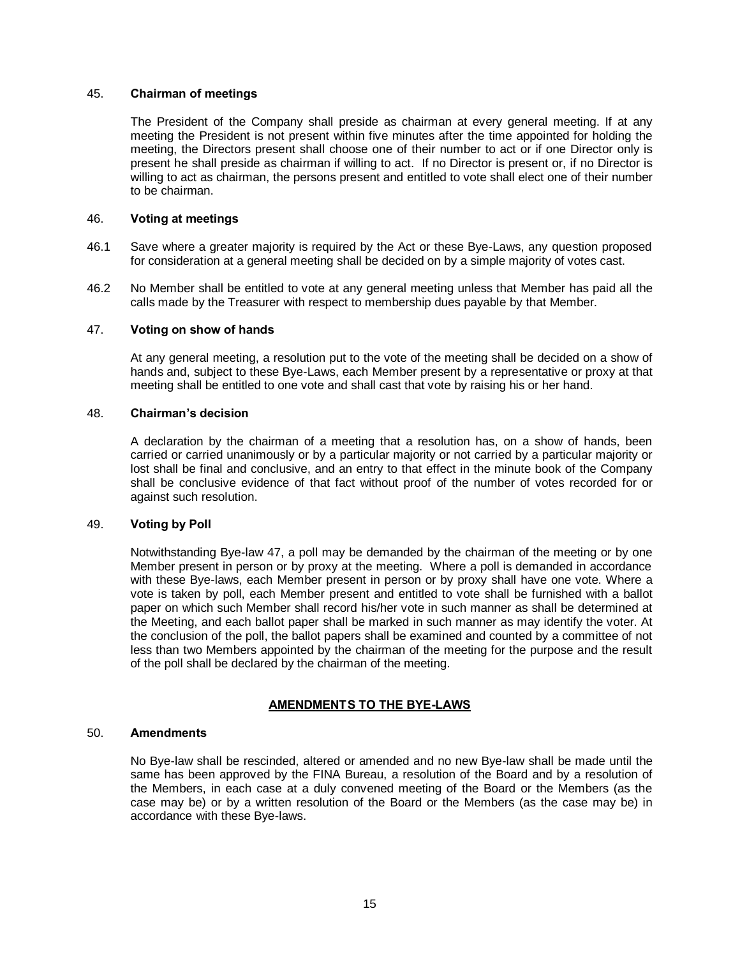#### 45. **Chairman of meetings**

The President of the Company shall preside as chairman at every general meeting. If at any meeting the President is not present within five minutes after the time appointed for holding the meeting, the Directors present shall choose one of their number to act or if one Director only is present he shall preside as chairman if willing to act. If no Director is present or, if no Director is willing to act as chairman, the persons present and entitled to vote shall elect one of their number to be chairman.

## 46. **Voting at meetings**

- 46.1 Save where a greater majority is required by the Act or these Bye-Laws, any question proposed for consideration at a general meeting shall be decided on by a simple majority of votes cast.
- 46.2 No Member shall be entitled to vote at any general meeting unless that Member has paid all the calls made by the Treasurer with respect to membership dues payable by that Member.

## 47. **Voting on show of hands**

At any general meeting, a resolution put to the vote of the meeting shall be decided on a show of hands and, subject to these Bye-Laws, each Member present by a representative or proxy at that meeting shall be entitled to one vote and shall cast that vote by raising his or her hand.

# 48. **Chairman's decision**

A declaration by the chairman of a meeting that a resolution has, on a show of hands, been carried or carried unanimously or by a particular majority or not carried by a particular majority or lost shall be final and conclusive, and an entry to that effect in the minute book of the Company shall be conclusive evidence of that fact without proof of the number of votes recorded for or against such resolution.

## 49. **Voting by Poll**

Notwithstanding Bye-law 47, a poll may be demanded by the chairman of the meeting or by one Member present in person or by proxy at the meeting. Where a poll is demanded in accordance with these Bye-laws, each Member present in person or by proxy shall have one vote. Where a vote is taken by poll, each Member present and entitled to vote shall be furnished with a ballot paper on which such Member shall record his/her vote in such manner as shall be determined at the Meeting, and each ballot paper shall be marked in such manner as may identify the voter. At the conclusion of the poll, the ballot papers shall be examined and counted by a committee of not less than two Members appointed by the chairman of the meeting for the purpose and the result of the poll shall be declared by the chairman of the meeting.

# **AMENDMENTS TO THE BYE-LAWS**

#### 50. **Amendments**

No Bye-law shall be rescinded, altered or amended and no new Bye-law shall be made until the same has been approved by the FINA Bureau, a resolution of the Board and by a resolution of the Members, in each case at a duly convened meeting of the Board or the Members (as the case may be) or by a written resolution of the Board or the Members (as the case may be) in accordance with these Bye-laws.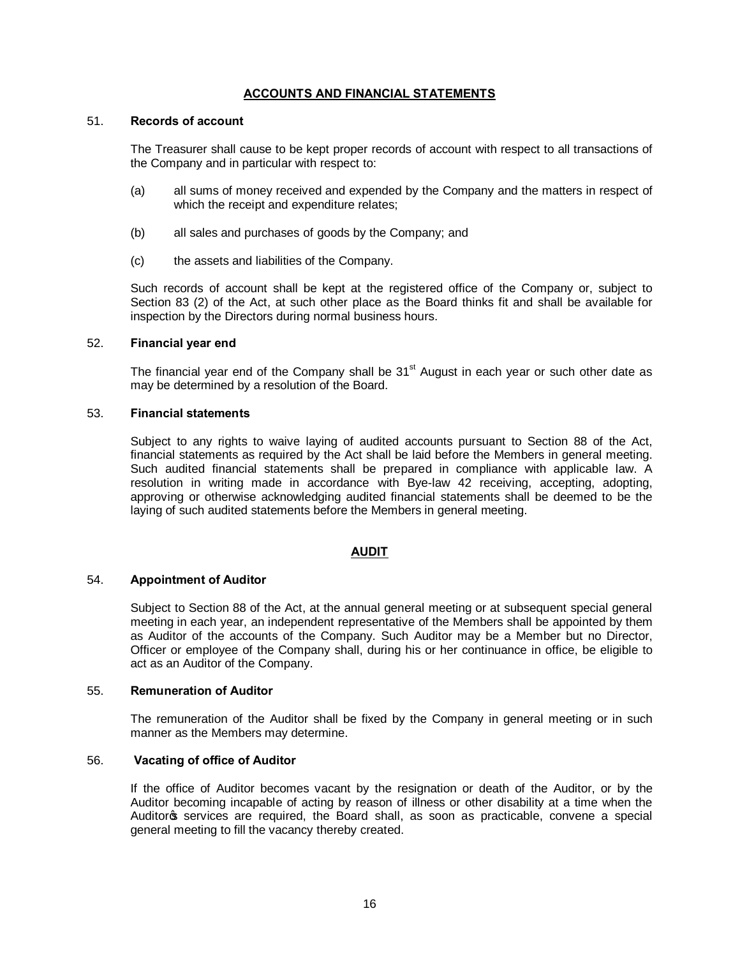## **ACCOUNTS AND FINANCIAL STATEMENTS**

#### 51. **Records of account**

The Treasurer shall cause to be kept proper records of account with respect to all transactions of the Company and in particular with respect to:

- (a) all sums of money received and expended by the Company and the matters in respect of which the receipt and expenditure relates;
- (b) all sales and purchases of goods by the Company; and
- (c) the assets and liabilities of the Company.

Such records of account shall be kept at the registered office of the Company or, subject to Section 83 (2) of the Act, at such other place as the Board thinks fit and shall be available for inspection by the Directors during normal business hours.

#### 52. **Financial year end**

The financial year end of the Company shall be  $31<sup>st</sup>$  August in each year or such other date as may be determined by a resolution of the Board.

## 53. **Financial statements**

Subject to any rights to waive laying of audited accounts pursuant to Section 88 of the Act, financial statements as required by the Act shall be laid before the Members in general meeting. Such audited financial statements shall be prepared in compliance with applicable law. A resolution in writing made in accordance with Bye-law 42 receiving, accepting, adopting, approving or otherwise acknowledging audited financial statements shall be deemed to be the laying of such audited statements before the Members in general meeting.

#### **AUDIT**

# 54. **Appointment of Auditor**

Subject to Section 88 of the Act, at the annual general meeting or at subsequent special general meeting in each year, an independent representative of the Members shall be appointed by them as Auditor of the accounts of the Company. Such Auditor may be a Member but no Director, Officer or employee of the Company shall, during his or her continuance in office, be eligible to act as an Auditor of the Company.

## 55. **Remuneration of Auditor**

The remuneration of the Auditor shall be fixed by the Company in general meeting or in such manner as the Members may determine.

#### 56. **Vacating of office of Auditor**

If the office of Auditor becomes vacant by the resignation or death of the Auditor, or by the Auditor becoming incapable of acting by reason of illness or other disability at a time when the Auditor's services are required, the Board shall, as soon as practicable, convene a special general meeting to fill the vacancy thereby created.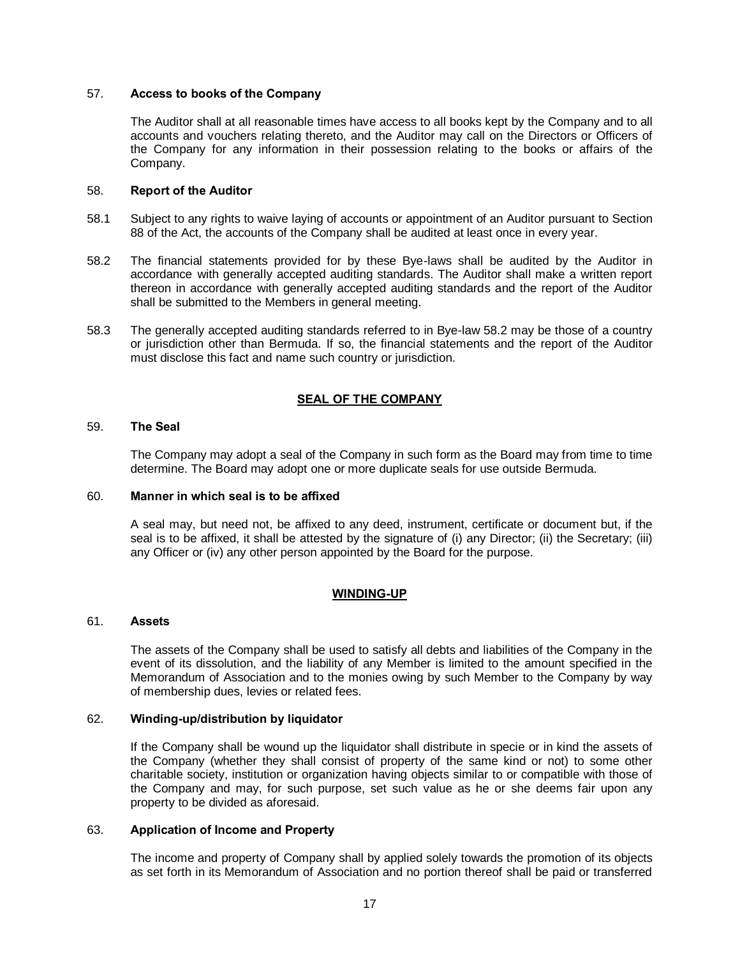## 57. **Access to books of the Company**

The Auditor shall at all reasonable times have access to all books kept by the Company and to all accounts and vouchers relating thereto, and the Auditor may call on the Directors or Officers of the Company for any information in their possession relating to the books or affairs of the Company.

#### 58. **Report of the Auditor**

- 58.1 Subject to any rights to waive laying of accounts or appointment of an Auditor pursuant to Section 88 of the Act, the accounts of the Company shall be audited at least once in every year.
- 58.2 The financial statements provided for by these Bye-laws shall be audited by the Auditor in accordance with generally accepted auditing standards. The Auditor shall make a written report thereon in accordance with generally accepted auditing standards and the report of the Auditor shall be submitted to the Members in general meeting.
- 58.3 The generally accepted auditing standards referred to in Bye-law 58.2 may be those of a country or jurisdiction other than Bermuda. If so, the financial statements and the report of the Auditor must disclose this fact and name such country or jurisdiction.

# **SEAL OF THE COMPANY**

## 59. **The Seal**

The Company may adopt a seal of the Company in such form as the Board may from time to time determine. The Board may adopt one or more duplicate seals for use outside Bermuda.

#### 60. **Manner in which seal is to be affixed**

A seal may, but need not, be affixed to any deed, instrument, certificate or document but, if the seal is to be affixed, it shall be attested by the signature of (i) any Director; (ii) the Secretary; (iii) any Officer or (iv) any other person appointed by the Board for the purpose.

# **WINDING-UP**

#### 61. **Assets**

The assets of the Company shall be used to satisfy all debts and liabilities of the Company in the event of its dissolution, and the liability of any Member is limited to the amount specified in the Memorandum of Association and to the monies owing by such Member to the Company by way of membership dues, levies or related fees.

## 62. **Winding-up/distribution by liquidator**

If the Company shall be wound up the liquidator shall distribute in specie or in kind the assets of the Company (whether they shall consist of property of the same kind or not) to some other charitable society, institution or organization having objects similar to or compatible with those of the Company and may, for such purpose, set such value as he or she deems fair upon any property to be divided as aforesaid.

#### 63. **Application of Income and Property**

The income and property of Company shall by applied solely towards the promotion of its objects as set forth in its Memorandum of Association and no portion thereof shall be paid or transferred